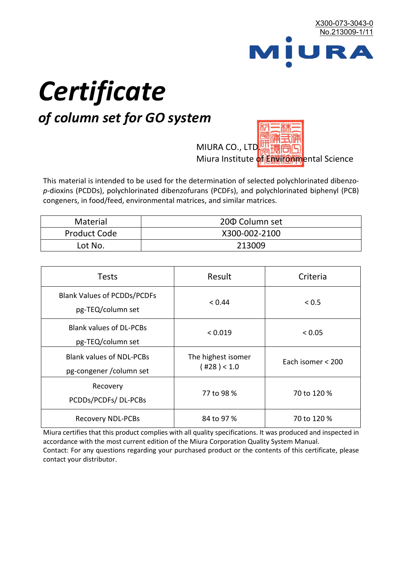

# *Certificate*

## *of column set for GO system*

MIURA CO., LTD. Miura Institute of 正版而解ental Science

This material is intended to be used for the determination of selected polychlorinated dibenzo*p*-dioxins (PCDDs), polychlorinated dibenzofurans (PCDFs), and polychlorinated biphenyl (PCB) congeners, in food/feed, environmental matrices, and similar matrices.

| <b>Material</b>     | 200 Column set |
|---------------------|----------------|
| <b>Product Code</b> | X300-002-2100  |
| Lot No.             | 213009         |

| <b>Tests</b>                                                | Result                            | Criteria          |
|-------------------------------------------------------------|-----------------------------------|-------------------|
| <b>Blank Values of PCDDs/PCDFs</b><br>pg-TEQ/column set     | < 0.44                            | < 0.5             |
| <b>Blank values of DL-PCBs</b><br>pg-TEQ/column set         | < 0.019                           | < 0.05            |
| <b>Blank values of NDL-PCBs</b><br>pg-congener / column set | The highest isomer<br>(428) < 1.0 | Each isomer < 200 |
| Recovery<br>PCDDs/PCDFs/DL-PCBs                             | 77 to 98 %                        | 70 to 120 %       |
| <b>Recovery NDL-PCBs</b>                                    | 84 to 97 %                        | 70 to 120 %       |

Miura certifies that this product complies with all quality specifications. It was produced and inspected in accordance with the most current edition of the Miura Corporation Quality System Manual. Contact: For any questions regarding your purchased product or the contents of this certificate, please contact your distributor.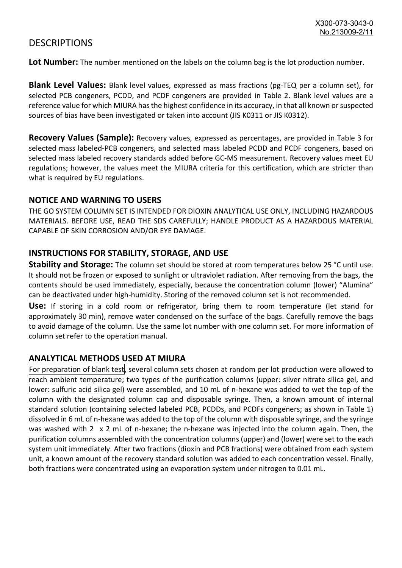### **DESCRIPTIONS**

**Lot Number:** The number mentioned on the labels on the column bag is the lot production number.

**Blank Level Values:** Blank level values, expressed as mass fractions (pg-TEQ per a column set), for selected PCB congeners, PCDD, and PCDF congeners are provided in Table 2. Blank level values are a reference value for which MIURA has the highest confidence in its accuracy, in that all known or suspected sources of bias have been investigated or taken into account (JIS K0311 or JIS K0312).

**Recovery Values (Sample):** Recovery values, expressed as percentages, are provided in Table 3 for selected mass labeled-PCB congeners, and selected mass labeled PCDD and PCDF congeners, based on selected mass labeled recovery standards added before GC-MS measurement. Recovery values meet EU regulations; however, the values meet the MIURA criteria for this certification, which are stricter than what is required by EU regulations.

#### **NOTICE AND WARNING TO USERS**

THE GO SYSTEM COLUMN SET IS INTENDED FOR DIOXIN ANALYTICAL USE ONLY, INCLUDING HAZARDOUS MATERIALS. BEFORE USE, READ THE SDS CAREFULLY; HANDLE PRODUCT AS A HAZARDOUS MATERIAL CAPABLE OF SKIN CORROSION AND/OR EYE DAMAGE.

#### **INSTRUCTIONS FOR STABILITY, STORAGE, AND USE**

**Stability and Storage:** The column set should be stored at room temperatures below 25 °C until use. It should not be frozen or exposed to sunlight or ultraviolet radiation. After removing from the bags, the contents should be used immediately, especially, because the concentration column (lower) "Alumina" can be deactivated under high-humidity. Storing of the removed column set is not recommended.

**Use:** If storing in a cold room or refrigerator, bring them to room temperature (let stand for approximately 30 min), remove water condensed on the surface of the bags. Carefully remove the bags to avoid damage of the column. Use the same lot number with one column set. For more information of column set refer to the operation manual.

#### **ANALYTICAL METHODS USED AT MIURA**

For preparation of blank test, several column sets chosen at random per lot production were allowed to reach ambient temperature; two types of the purification columns (upper: silver nitrate silica gel, and lower: sulfuric acid silica gel) were assembled, and 10 mL of n-hexane was added to wet the top of the column with the designated column cap and disposable syringe. Then, a known amount of internal standard solution (containing selected labeled PCB, PCDDs, and PCDFs congeners; as shown in Table 1) dissolved in 6 mL of n-hexane was added to the top of the column with disposable syringe, and the syringe was washed with 2 x 2 mL of n-hexane; the n-hexane was injected into the column again. Then, the purification columns assembled with the concentration columns (upper) and (lower) were set to the each system unit immediately. After two fractions (dioxin and PCB fractions) were obtained from each system unit, a known amount of the recovery standard solution was added to each concentration vessel. Finally, both fractions were concentrated using an evaporation system under nitrogen to 0.01 mL.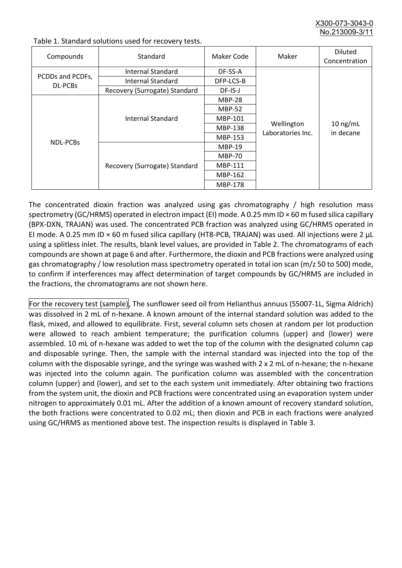X300-073-3043-0 No.213009-3/

| Compounds                   | Standard                      | Maker Code     | Maker                           | <b>Diluted</b><br>Concentration |
|-----------------------------|-------------------------------|----------------|---------------------------------|---------------------------------|
|                             | Internal Standard             | DF-SS-A        |                                 | $10$ ng/mL<br>in decane         |
| PCDDs and PCDFs,<br>DL-PCBs | <b>Internal Standard</b>      | DFP-LCS-B      |                                 |                                 |
|                             | Recovery (Surrogate) Standard | DF-IS-J        |                                 |                                 |
| <b>NDL-PCBs</b>             | Internal Standard             | <b>MBP-28</b>  | Wellington<br>Laboratories Inc. |                                 |
|                             |                               | <b>MBP-52</b>  |                                 |                                 |
|                             |                               | MBP-101        |                                 |                                 |
|                             |                               | <b>MBP-138</b> |                                 |                                 |
|                             |                               | MBP-153        |                                 |                                 |
|                             | Recovery (Surrogate) Standard | <b>MBP-19</b>  |                                 |                                 |
|                             |                               | <b>MBP-70</b>  |                                 |                                 |
|                             |                               | MBP-111        |                                 |                                 |
|                             |                               | MBP-162        |                                 |                                 |
|                             |                               | <b>MBP-178</b> |                                 |                                 |

Table 1. Standard solutions used for recovery tests.

The concentrated dioxin fraction was analyzed using gas chromatography / high resolution mass spectrometry (GC/HRMS) operated in electron impact (EI) mode. A 0.25 mm ID × 60 m fused silica capillary (BPX-DXN, TRAJAN) was used. The concentrated PCB fraction was analyzed using GC/HRMS operated in EI mode. A 0.25 mm ID × 60 m fused silica capillary (HT8-PCB, TRAJAN) was used. All injections were 2 μL using a splitless inlet. The results, blank level values, are provided in Table 2. The chromatograms of each compounds are shown at page 6 and after. Furthermore, the dioxin and PCB fractions were analyzed using gas chromatography / low resolution mass spectrometry operated in total ion scan (m/z 50 to 500) mode, to confirm if interferences may affect determination of target compounds by GC/HRMS are included in the fractions, the chromatograms are not shown here.

For the recovery test (sample), The sunflower seed oil from Helianthus annuus (S5007-1L, Sigma Aldrich) was dissolved in 2 mL of n-hexane. A known amount of the internal standard solution was added to the flask, mixed, and allowed to equilibrate. First, several column sets chosen at random per lot production were allowed to reach ambient temperature; the purification columns (upper) and (lower) were assembled. 10 mL of n-hexane was added to wet the top of the column with the designated column cap and disposable syringe. Then, the sample with the internal standard was injected into the top of the column with the disposable syringe, and the syringe was washed with 2 x 2 mL of n-hexane; the n-hexane was injected into the column again. The purification column was assembled with the concentration column (upper) and (lower), and set to the each system unit immediately. After obtaining two fractions from the system unit, the dioxin and PCB fractions were concentrated using an evaporation system under nitrogen to approximately 0.01 mL. After the addition of a known amount of recovery standard solution, the both fractions were concentrated to 0.02 mL; then dioxin and PCB in each fractions were analyzed using GC/HRMS as mentioned above test. The inspection results is displayed in Table 3.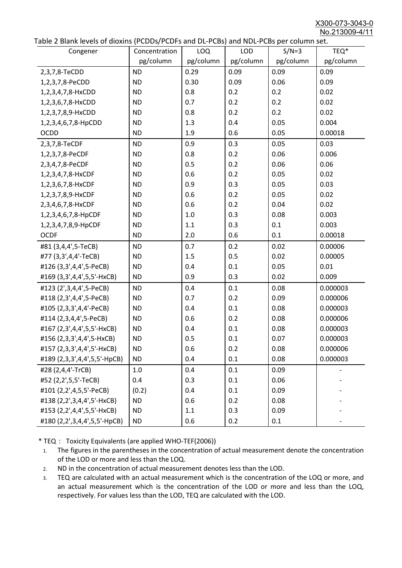X300-073-3043-0 No.213009-4/11

|  | Table 2 Blank levels of dioxins (PCDDs/PCDFs and DL-PCBs) and NDL-PCBs per column set. |
|--|----------------------------------------------------------------------------------------|
|--|----------------------------------------------------------------------------------------|

| abic 2 Diarik icveis of dioxins (I CDD3/TCDTs and DET CD3/ and NDET CD3 pcr column sett.<br>Congener | Concentration | <b>LOQ</b> | <b>LOD</b> | $S/N=3$   | TEQ*      |
|------------------------------------------------------------------------------------------------------|---------------|------------|------------|-----------|-----------|
|                                                                                                      | pg/column     | pg/column  | pg/column  | pg/column | pg/column |
| 2,3,7,8-TeCDD                                                                                        | <b>ND</b>     | 0.29       | 0.09       | 0.09      | 0.09      |
| 1,2,3,7,8-PeCDD                                                                                      | <b>ND</b>     | 0.30       | 0.09       | 0.06      | 0.09      |
| 1,2,3,4,7,8-HxCDD                                                                                    | <b>ND</b>     | 0.8        | 0.2        | 0.2       | 0.02      |
| 1,2,3,6,7,8-HxCDD                                                                                    | <b>ND</b>     | 0.7        | 0.2        | 0.2       | 0.02      |
| 1,2,3,7,8,9-HxCDD                                                                                    | <b>ND</b>     | 0.8        | 0.2        | 0.2       | 0.02      |
| 1,2,3,4,6,7,8-HpCDD                                                                                  | <b>ND</b>     | 1.3        | 0.4        | 0.05      | 0.004     |
| <b>OCDD</b>                                                                                          | <b>ND</b>     | 1.9        | 0.6        | 0.05      | 0.00018   |
| 2,3,7,8-TeCDF                                                                                        | <b>ND</b>     | 0.9        | 0.3        | 0.05      | 0.03      |
| 1,2,3,7,8-PeCDF                                                                                      | <b>ND</b>     | 0.8        | 0.2        | 0.06      | 0.006     |
| 2,3,4,7,8-PeCDF                                                                                      | <b>ND</b>     | 0.5        | 0.2        | 0.06      | 0.06      |
| 1,2,3,4,7,8-HxCDF                                                                                    | <b>ND</b>     | 0.6        | 0.2        | 0.05      | 0.02      |
| 1,2,3,6,7,8-HxCDF                                                                                    | <b>ND</b>     | 0.9        | 0.3        | 0.05      | 0.03      |
| 1,2,3,7,8,9-HxCDF                                                                                    | <b>ND</b>     | 0.6        | 0.2        | 0.05      | 0.02      |
| 2,3,4,6,7,8-HxCDF                                                                                    | <b>ND</b>     | 0.6        | 0.2        | 0.04      | 0.02      |
| 1,2,3,4,6,7,8-HpCDF                                                                                  | <b>ND</b>     | 1.0        | 0.3        | 0.08      | 0.003     |
| 1,2,3,4,7,8,9-HpCDF                                                                                  | <b>ND</b>     | 1.1        | 0.3        | 0.1       | 0.003     |
| <b>OCDF</b>                                                                                          | <b>ND</b>     | 2.0        | 0.6        | 0.1       | 0.00018   |
| #81 (3,4,4',5-TeCB)                                                                                  | <b>ND</b>     | 0.7        | 0.2        | 0.02      | 0.00006   |
| #77 (3,3',4,4'-TeCB)                                                                                 | <b>ND</b>     | 1.5        | 0.5        | 0.02      | 0.00005   |
| #126 (3,3',4,4',5-PeCB)                                                                              | <b>ND</b>     | 0.4        | 0.1        | 0.05      | 0.01      |
| #169 (3,3',4,4',5,5'-HxCB)                                                                           | <b>ND</b>     | 0.9        | 0.3        | 0.02      | 0.009     |
| #123 (2',3,4,4',5-PeCB)                                                                              | <b>ND</b>     | 0.4        | 0.1        | 0.08      | 0.000003  |
| #118 (2,3',4,4',5-PeCB)                                                                              | <b>ND</b>     | 0.7        | 0.2        | 0.09      | 0.000006  |
| #105 (2,3,3',4,4'-PeCB)                                                                              | <b>ND</b>     | 0.4        | 0.1        | 0.08      | 0.000003  |
| #114 (2,3,4,4',5-PeCB)                                                                               | <b>ND</b>     | 0.6        | 0.2        | 0.08      | 0.000006  |
| #167 (2,3',4,4',5,5'-HxCB)                                                                           | <b>ND</b>     | 0.4        | 0.1        | 0.08      | 0.000003  |
| #156 (2,3,3',4,4',5-HxCB)                                                                            | <b>ND</b>     | 0.5        | 0.1        | 0.07      | 0.000003  |
| #157 (2,3,3',4,4',5'-HxCB)                                                                           | <b>ND</b>     | 0.6        | 0.2        | 0.08      | 0.000006  |
| #189 (2,3,3',4,4',5,5'-HpCB)                                                                         | <b>ND</b>     | 0.4        | 0.1        | 0.08      | 0.000003  |
| #28 (2,4,4'-TrCB)                                                                                    | 1.0           | 0.4        | 0.1        | 0.09      |           |
| #52 (2,2',5,5'-TeCB)                                                                                 | 0.4           | 0.3        | 0.1        | 0.06      |           |
| #101 (2,2',4,5,5'-PeCB)                                                                              | (0.2)         | 0.4        | 0.1        | 0.09      |           |
| #138 (2,2',3,4,4',5'-HxCB)                                                                           | <b>ND</b>     | 0.6        | 0.2        | 0.08      |           |
| #153 (2,2',4,4',5,5'-HxCB)                                                                           | <b>ND</b>     | 1.1        | 0.3        | 0.09      |           |
| #180 (2,2',3,4,4',5,5'-HpCB)                                                                         | <b>ND</b>     | 0.6        | 0.2        | 0.1       |           |

\* TEQ: Toxicity Equivalents (are applied WHO-TEF(2006))

- 1. The figures in the parentheses in the concentration of actual measurement denote the concentration of the LOD or more and less than the LOQ.
- 2. ND in the concentration of actual measurement denotes less than the LOD.
- 3. TEQ are calculated with an actual measurement which is the concentration of the LOQ or more, and an actual measurement which is the concentration of the LOD or more and less than the LOQ, respectively. For values less than the LOD, TEQ are calculated with the LOD.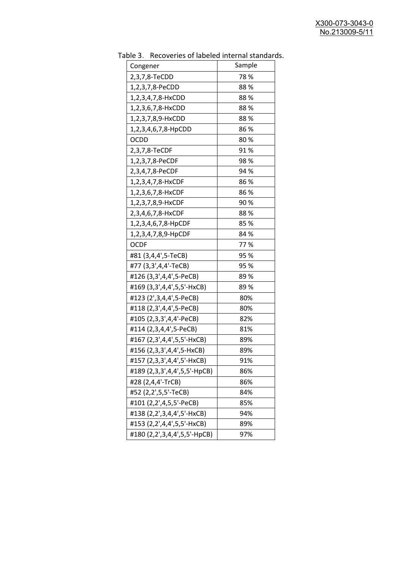| יכ אומג<br><b>INCLOSUTION</b> OF REPORT THE THEIR STRINGER<br>Congener | Sample |
|------------------------------------------------------------------------|--------|
| 2,3,7,8-TeCDD                                                          | 78%    |
| 1,2,3,7,8-PeCDD                                                        | 88%    |
| 1,2,3,4,7,8-HxCDD                                                      | 88%    |
| 1,2,3,6,7,8-HxCDD                                                      | 88%    |
| 1,2,3,7,8,9-HxCDD                                                      | 88%    |
| 1,2,3,4,6,7,8-HpCDD                                                    | 86 %   |
| <b>OCDD</b>                                                            | 80%    |
| 2,3,7,8-TeCDF                                                          | 91 %   |
| 1,2,3,7,8-PeCDF                                                        | 98%    |
| 2,3,4,7,8-PeCDF                                                        | 94 %   |
| 1,2,3,4,7,8-HxCDF                                                      | 86%    |
| 1,2,3,6,7,8-HxCDF                                                      | 86 %   |
| 1,2,3,7,8,9-HxCDF                                                      | 90%    |
| 2,3,4,6,7,8-HxCDF                                                      | 88%    |
| 1,2,3,4,6,7,8-HpCDF                                                    | 85%    |
| 1,2,3,4,7,8,9-HpCDF                                                    | 84 %   |
| <b>OCDF</b>                                                            | 77%    |
| #81 (3,4,4',5-TeCB)                                                    | 95 %   |
| #77 (3,3',4,4'-TeCB)                                                   | 95 %   |
| #126 (3,3',4,4',5-PeCB)                                                | 89 %   |
| #169 (3,3',4,4',5,5'-HxCB)                                             | 89%    |
| #123 (2', 3, 4, 4', 5-PeCB)                                            | 80%    |
| #118 (2,3',4,4',5-PeCB)                                                | 80%    |
| #105 (2,3,3',4,4'-PeCB)                                                | 82%    |
| #114 (2,3,4,4',5-PeCB)                                                 | 81%    |
| #167 (2,3',4,4',5,5'-HxCB)                                             | 89%    |
| #156 (2,3,3',4,4',5-HxCB)                                              | 89%    |
| #157 (2,3,3',4,4',5'-HxCB)                                             | 91%    |
| #189 (2,3,3',4,4',5,5'-HpCB)                                           | 86%    |
| #28 (2,4,4'-TrCB)                                                      | 86%    |
| #52 (2,2',5,5'-TeCB)                                                   | 84%    |
| #101 (2,2',4,5,5'-PeCB)                                                | 85%    |
| #138 (2,2',3,4,4',5'-HxCB)                                             | 94%    |
| #153 (2,2',4,4',5,5'-HxCB)                                             | 89%    |
| #180 (2,2',3,4,4',5,5'-HpCB)                                           | 97%    |

Table 3. Recoveries of labeled internal standards.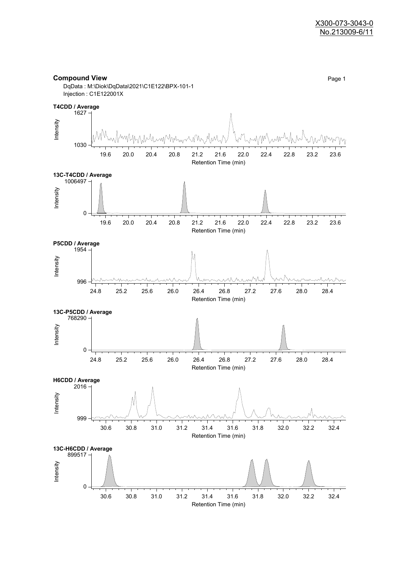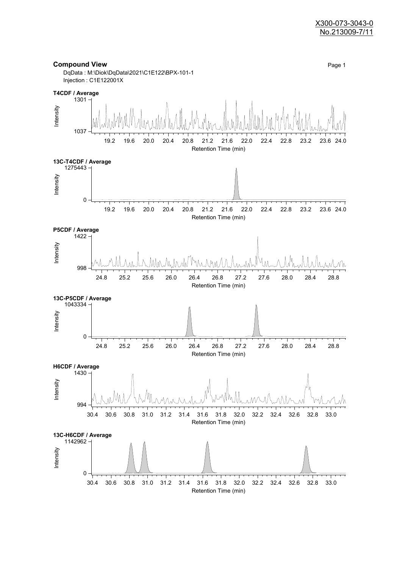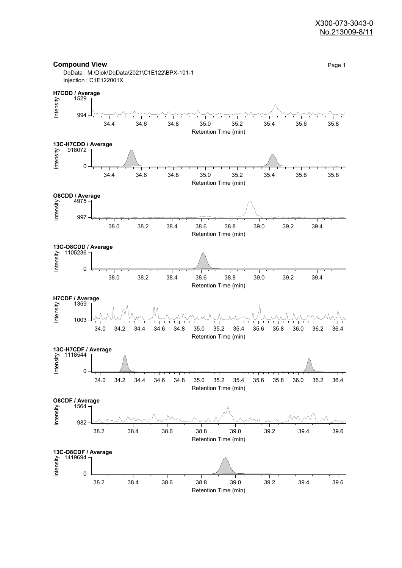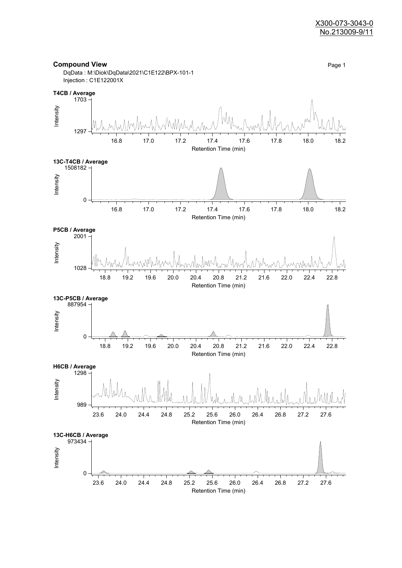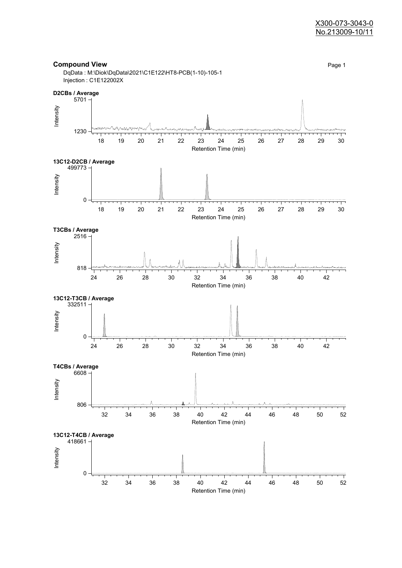